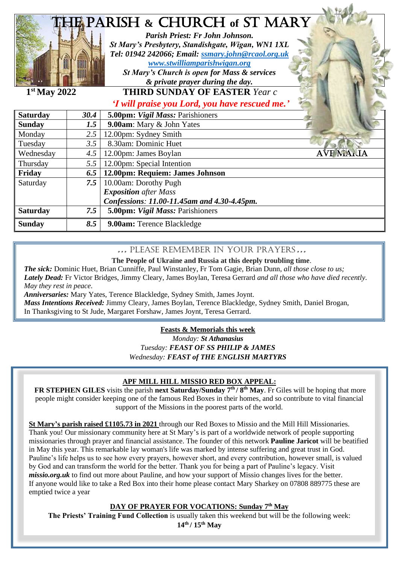| <b>HE PARISH &amp; CHURCH of ST MARY</b><br>Parish Priest: Fr John Johnson.<br>St Mary's Presbytery, Standishgate, Wigan, WN1 1XL<br>Tel: 01942 242066; Email: ssmary.john@rcaol.org.uk<br>www.stwilliamparishwigan.org<br>St Mary's Church is open for Mass & services<br>& private prayer during the day.<br>$1st$ May 2022<br><b>THIRD SUNDAY OF EASTER Year c</b><br>'I will praise you Lord, you have rescued me.' |               |                                             |
|-------------------------------------------------------------------------------------------------------------------------------------------------------------------------------------------------------------------------------------------------------------------------------------------------------------------------------------------------------------------------------------------------------------------------|---------------|---------------------------------------------|
| <b>Saturday</b>                                                                                                                                                                                                                                                                                                                                                                                                         | 30.4          | 5.00pm: Vigil Mass: Parishioners            |
| <b>Sunday</b>                                                                                                                                                                                                                                                                                                                                                                                                           | 1.5           | 9.00am: Mary & John Yates                   |
| Monday                                                                                                                                                                                                                                                                                                                                                                                                                  | $2.5^{\circ}$ | 12.00pm: Sydney Smith                       |
| Tuesday                                                                                                                                                                                                                                                                                                                                                                                                                 | 3.5           | 8.30am: Dominic Huet                        |
| Wednesday                                                                                                                                                                                                                                                                                                                                                                                                               | 4.5           | <b>AVF MALIA</b><br>12.00pm: James Boylan   |
| Thursday                                                                                                                                                                                                                                                                                                                                                                                                                | 5.5           | 12.00pm: Special Intention                  |
| Friday                                                                                                                                                                                                                                                                                                                                                                                                                  | 6.5           | 12.00pm: Requiem: James Johnson             |
| Saturday                                                                                                                                                                                                                                                                                                                                                                                                                | 7.5           | 10.00am: Dorothy Pugh                       |
|                                                                                                                                                                                                                                                                                                                                                                                                                         |               | <b>Exposition</b> after Mass                |
|                                                                                                                                                                                                                                                                                                                                                                                                                         |               | Confessions: 11.00-11.45am and 4.30-4.45pm. |
| <b>Saturday</b>                                                                                                                                                                                                                                                                                                                                                                                                         | 7.5           | 5.00pm: Vigil Mass: Parishioners            |
| <b>Sunday</b>                                                                                                                                                                                                                                                                                                                                                                                                           | 8.5           | 9.00am: Terence Blackledge                  |

### …Please remember in your prayers…

#### **The People of Ukraine and Russia at this deeply troubling time**.

*The sick:* Dominic Huet, Brian Cunniffe, Paul Winstanley, Fr Tom Gagie, Brian Dunn, *all those close to us; Lately Dead:* Fr Victor Bridges, Jimmy Cleary, James Boylan, Teresa Gerrard *and all those who have died recently*. *May they rest in peace.*

*Anniversaries:* Mary Yates, Terence Blackledge, Sydney Smith, James Joynt.

*Mass Intentions Received:* Jimmy Cleary, James Boylan, Terence Blackledge, Sydney Smith, Daniel Brogan,

In Thanksgiving to St Jude, Margaret Forshaw, James Joynt, Teresa Gerrard.

#### **Feasts & Memorials this week**

*Monday: St Athanasius Tuesday: FEAST OF SS PHILIP & JAMES Wednesday: FEAST of THE ENGLISH MARTYRS*

#### **APF MILL HILL MISSIO RED BOX APPEAL:**

**FR STEPHEN GILES** visits the parish **next Saturday/Sunday 7th / 8th May**. Fr Giles will be hoping that more people might consider keeping one of the famous Red Boxes in their homes, and so contribute to vital financial support of the Missions in the poorest parts of the world.

**CARTOD FALLS IN THANGE AND TABLE TO THE SET THANGE IT COLLECTIONS TO ME SO THE THAN THE MISSION COLLECTIONS.<br>Thank you! Our missionary community here at St Mary's is part of a worldwide network of people supporting** Thank you: Our infisionaly community here at St Mary's is part of a worldwide hetwork of people supporting<br>missionaries through prayer and financial assistance. The founder of this network **Pauline Jaricot** will be beatifi . Pauline's life helps us to see how every prayers, however short, and every contribution, however small, is valued **St Mary's parish raised £1105.73 in 2021** through our Red Boxes to Missio and the Mill Hill Missionaries. in May this year. This remarkable lay woman's life was marked by intense suffering and great trust in God. by God and can transform the world for the better. Thank you for being a part of Pauline's legacy. Visit *missio.org.uk* to find out more about Pauline, and how your support of Missio changes lives for the better. If anyone would like to take a Red Box into their home please contact Mary Sharkey on 07808 889775 these are emptied twice a year

#### **DAY OF PRAYER FOR VOCATIONS: Sunday 7th May**

**The Priests' Training Fund Collection** is usually taken this weekend but will be the following week: **14th / 15th May**